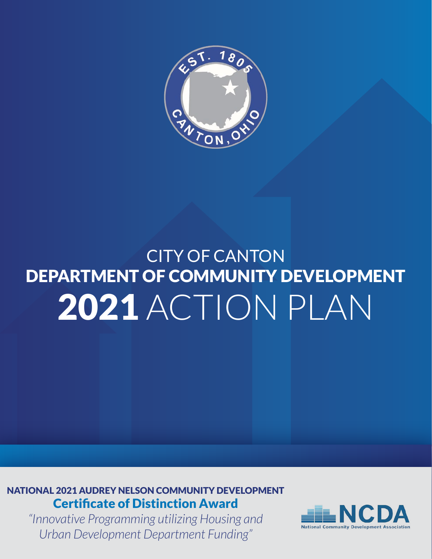

## CITY OF CANTON DEPARTMENT OF COMMUNITY DEVELOPMENT 2021 ACTION PLAN

NATIONAL 2021 AUDREY NELSON COMMUNITY DEVELOPMENT Certificate of Distinction Award

*"Innovative Programming utilizing Housing and Urban Development Department Funding"*

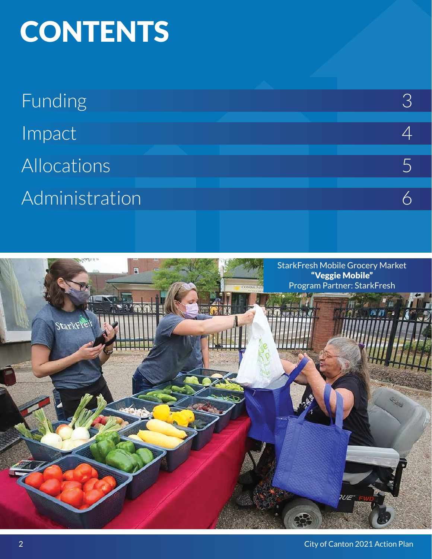# **CONTENTS**

| <b>Funding</b>      |  |
|---------------------|--|
| Impact <sup>1</sup> |  |
| Allocations         |  |
| Administration      |  |

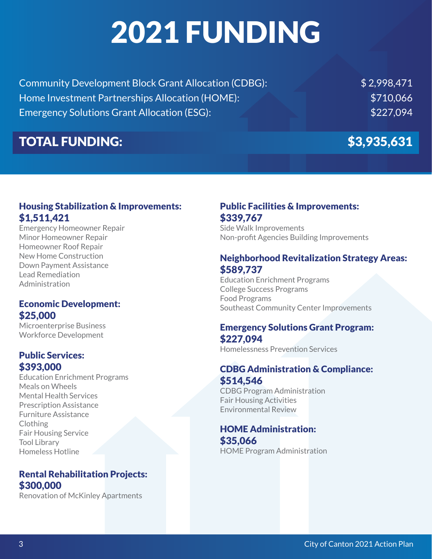# 2021 FUNDING

| <b>Community Development Block Grant Allocation (CDBG):</b> | \$2,998,471 |
|-------------------------------------------------------------|-------------|
| Home Investment Partnerships Allocation (HOME):             | \$710,066   |
| <b>Emergency Solutions Grant Allocation (ESG):</b>          | \$227.094   |

### TOTAL FUNDING: \$3,935,631

### Housing Stabilization & Improvements: \$1,511,421

Emergency Homeowner Repair Minor Homeowner Repair Homeowner Roof Repair New Home Construction Down Payment Assistance Lead Remediation Administration

### Economic Development: \$25,000

Microenterprise Business Workforce Development

### Public Services: \$393,000

Education Enrichment Programs Meals on Wheels Mental Health Services Prescription Assistance Furniture Assistance Clothing Fair Housing Service Tool Library Homeless Hotline

### Rental Rehabilitation Projects: \$300,000

Renovation of McKinley Apartments

### Public Facilities & Improvements: \$339,767

Side Walk Improvements Non-profit Agencies Building Improvements

### Neighborhood Revitalization Strategy Areas: \$589,737

Education Enrichment Programs College Success Programs Food Programs Southeast Community Center Improvements

### Emergency Solutions Grant Program: \$227,094

Homelessness Prevention Services

### CDBG Administration & Compliance: \$514,546

CDBG Program Administration Fair Housing Activities Environmental Review

### HOME Administration: \$35,066

HOME Program Administration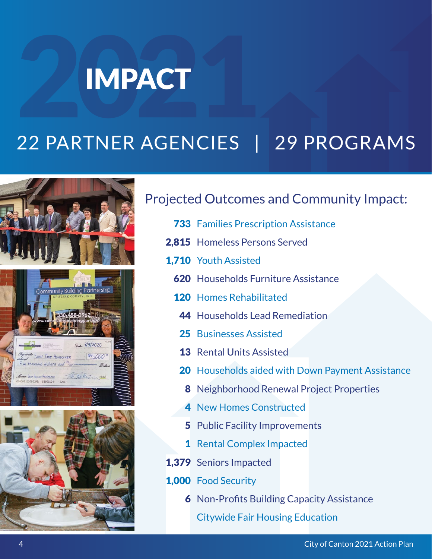# 2 IMPACT

## 22 PARTNER AGENCIES | 29 PROGRAMS





### Projected Outcomes and Community Impact:

- **733** Families Prescription Assistance
- 2,815 Homeless Persons Served
- 1,710 Youth Assisted
	- **620** Households Furniture Assistance
	- 120 Homes Rehabilitated
		- 44 Households Lead Remediation
		- 25 Businesses Assisted
		- 13 Rental Units Assisted
		- 20 Households aided with Down Payment Assistance
			- 8 Neighborhood Renewal Project Properties
		- 4 New Homes Constructed
		- 5 Public Facility Improvements
		- 1 Rental Complex Impacted
- 1,379 Seniors Impacted
- 1,000 Food Security
	- 6 Non-Profits Building Capacity Assistance
		- Citywide Fair Housing Education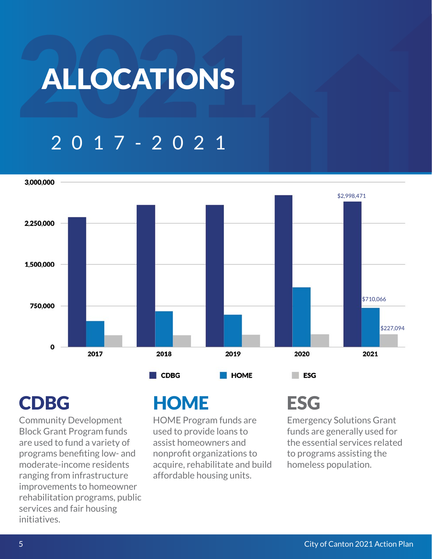# **ALLOCATIONS**

## 2017-2021



Community Development Block Grant Program funds are used to fund a variety of programs benefiting low- and moderate-income residents ranging from infrastructure improvements to homeowner rehabilitation programs, public services and fair housing initiatives.

### CDBG HOME ESG

HOME Program funds are used to provide loans to assist homeowners and nonprofit organizations to acquire, rehabilitate and build affordable housing units.

Emergency Solutions Grant funds are generally used for the essential services related to programs assisting the homeless population.